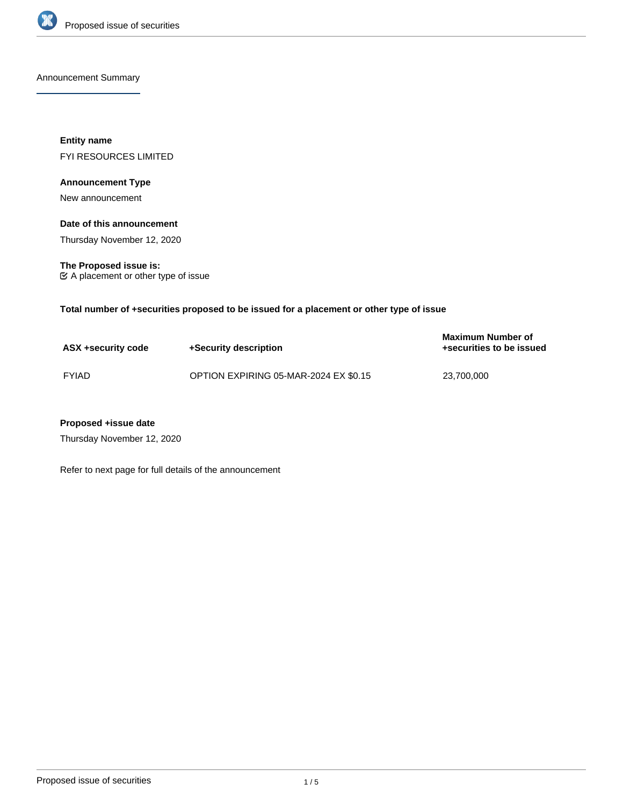

Announcement Summary

**Entity name** FYI RESOURCES LIMITED

# **Announcement Type**

New announcement

## **Date of this announcement**

Thursday November 12, 2020

**The Proposed issue is:** A placement or other type of issue

**Total number of +securities proposed to be issued for a placement or other type of issue**

| ASX +security code | +Security description                 | <b>Maximum Number of</b><br>+securities to be issued |
|--------------------|---------------------------------------|------------------------------------------------------|
| <b>FYIAD</b>       | OPTION EXPIRING 05-MAR-2024 EX \$0.15 | 23,700,000                                           |

## **Proposed +issue date**

Thursday November 12, 2020

Refer to next page for full details of the announcement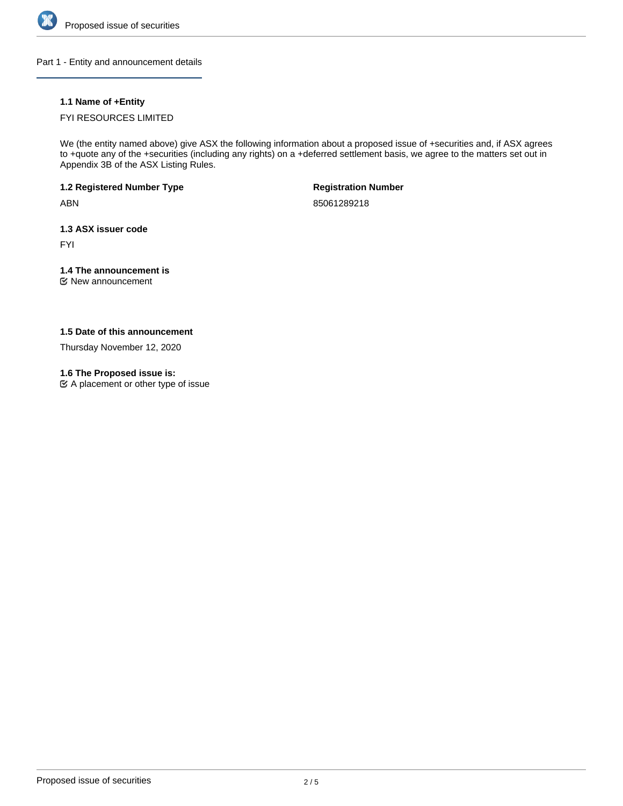

Part 1 - Entity and announcement details

# **1.1 Name of +Entity**

## FYI RESOURCES LIMITED

We (the entity named above) give ASX the following information about a proposed issue of +securities and, if ASX agrees to +quote any of the +securities (including any rights) on a +deferred settlement basis, we agree to the matters set out in Appendix 3B of the ASX Listing Rules.

**1.2 Registered Number Type**

ABN

**Registration Number**

85061289218

**1.3 ASX issuer code**

FYI

# **1.4 The announcement is**

New announcement

## **1.5 Date of this announcement**

Thursday November 12, 2020

## **1.6 The Proposed issue is:**

A placement or other type of issue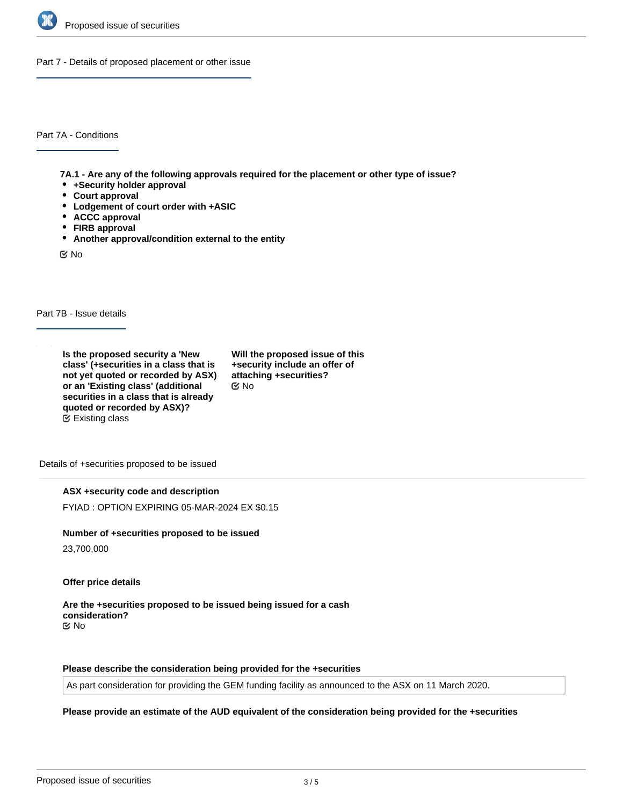

Part 7 - Details of proposed placement or other issue

Part 7A - Conditions

**7A.1 - Are any of the following approvals required for the placement or other type of issue?**

- **+Security holder approval**
- **Court approval**
- **Lodgement of court order with +ASIC**
- **ACCC approval**
- **FIRB approval**
- **Another approval/condition external to the entity**

No

Part 7B - Issue details

**Is the proposed security a 'New class' (+securities in a class that is not yet quoted or recorded by ASX) or an 'Existing class' (additional securities in a class that is already quoted or recorded by ASX)?** Existing class

**Will the proposed issue of this +security include an offer of attaching +securities?** No

Details of +securities proposed to be issued

## **ASX +security code and description**

FYIAD : OPTION EXPIRING 05-MAR-2024 EX \$0.15

#### **Number of +securities proposed to be issued**

23,700,000

## **Offer price details**

**Are the +securities proposed to be issued being issued for a cash consideration?** No

**Please describe the consideration being provided for the +securities**

As part consideration for providing the GEM funding facility as announced to the ASX on 11 March 2020.

# **Please provide an estimate of the AUD equivalent of the consideration being provided for the +securities**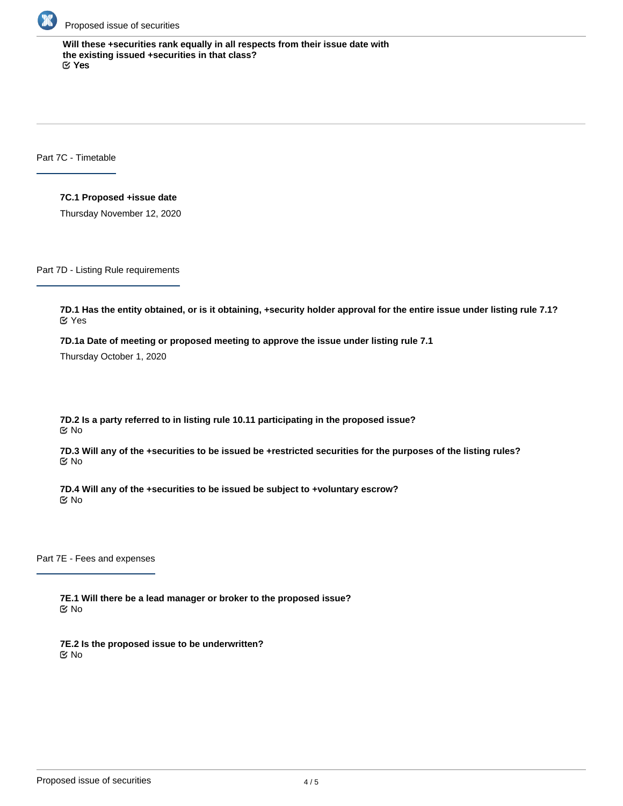

**Will these +securities rank equally in all respects from their issue date with the existing issued +securities in that class?** Yes

Part 7C - Timetable

**7C.1 Proposed +issue date**

Thursday November 12, 2020

Part 7D - Listing Rule requirements

**7D.1 Has the entity obtained, or is it obtaining, +security holder approval for the entire issue under listing rule 7.1?** Yes

**7D.1a Date of meeting or proposed meeting to approve the issue under listing rule 7.1**

Thursday October 1, 2020

**7D.2 Is a party referred to in listing rule 10.11 participating in the proposed issue?** No

**7D.3 Will any of the +securities to be issued be +restricted securities for the purposes of the listing rules?** No

**7D.4 Will any of the +securities to be issued be subject to +voluntary escrow?** No

Part 7E - Fees and expenses

**7E.1 Will there be a lead manager or broker to the proposed issue?** No

**7E.2 Is the proposed issue to be underwritten?** No